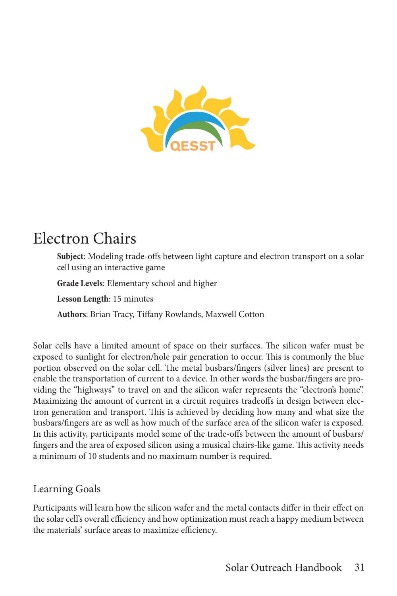

# Electron Chairs

**Subject**: Modeling trade-offs between light capture and electron transport on a solar cell using an interactive game

**Grade Levels**: Elementary school and higher

**Lesson Length**: 15 minutes

**Authors**: Brian Tracy, Tiffany Rowlands, Maxwell Cotton

Solar cells have a limited amount of space on their surfaces. The silicon wafer must be exposed to sunlight for electron/hole pair generation to occur. This is commonly the blue portion observed on the solar cell. The metal busbars/fingers (silver lines) are present to enable the transportation of current to a device. In other words the busbar/fingers are providing the "highways" to travel on and the silicon wafer represents the "electron's home". Maximizing the amount of current in a circuit requires tradeoffs in design between electron generation and transport. This is achieved by deciding how many and what size the busbars/fingers are as well as how much of the surface area of the silicon wafer is exposed. In this activity, participants model some of the trade-offs between the amount of busbars/ fingers and the area of exposed silicon using a musical chairs-like game. This activity needs a minimum of 10 students and no maximum number is required.

### Learning Goals

Participants will learn how the silicon wafer and the metal contacts differ in their effect on the solar cell's overall efficiency and how optimization must reach a happy medium between the materials' surface areas to maximize efficiency.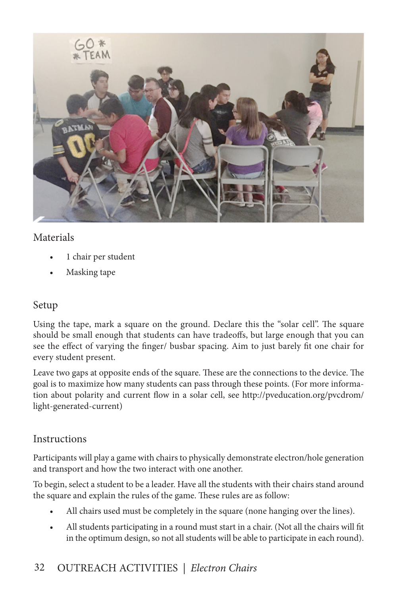

#### Materials

- 1 chair per student
- Masking tape

#### Setup

Using the tape, mark a square on the ground. Declare this the "solar cell". The square should be small enough that students can have tradeoffs, but large enough that you can see the effect of varying the finger/ busbar spacing. Aim to just barely fit one chair for every student present.

Leave two gaps at opposite ends of the square. These are the connections to the device. The goal is to maximize how many students can pass through these points. (For more information about polarity and current flow in a solar cell, see http://pveducation.org/pvcdrom/ light-generated-current)

#### **Instructions**

Participants will play a game with chairs to physically demonstrate electron/hole generation and transport and how the two interact with one another.

To begin, select a student to be a leader. Have all the students with their chairs stand around the square and explain the rules of the game. These rules are as follow:

- All chairs used must be completely in the square (none hanging over the lines).
- All students participating in a round must start in a chair. (Not all the chairs will fit in the optimum design, so not all students will be able to participate in each round).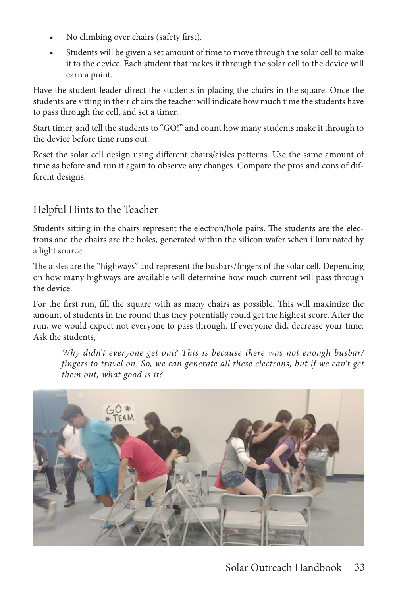- No climbing over chairs (safety first).
- Students will be given a set amount of time to move through the solar cell to make it to the device. Each student that makes it through the solar cell to the device will earn a point.

Have the student leader direct the students in placing the chairs in the square. Once the students are sitting in their chairs the teacher will indicate how much time the students have to pass through the cell, and set a timer.

Start timer, and tell the students to "GO!" and count how many students make it through to the device before time runs out.

Reset the solar cell design using different chairs/aisles patterns. Use the same amount of time as before and run it again to observe any changes. Compare the pros and cons of different designs.

# Helpful Hints to the Teacher

Students sitting in the chairs represent the electron/hole pairs. The students are the electrons and the chairs are the holes, generated within the silicon wafer when illuminated by a light source.

The aisles are the "highways" and represent the busbars/fingers of the solar cell. Depending on how many highways are available will determine how much current will pass through the device.

For the first run, fill the square with as many chairs as possible. This will maximize the amount of students in the round thus they potentially could get the highest score. After the run, we would expect not everyone to pass through. If everyone did, decrease your time. Ask the students,

*Why didn't everyone get out? This is because there was not enough busbar/ fingers to travel on. So, we can generate all these electrons, but if we can't get them out, what good is it?*